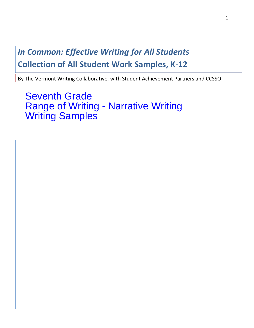# **In Common: Effective Writing for All Students Collection of All Student Work Samples, K-12**

By The Vermont Writing Collaborative, with Student Achievement Partners and CCSSO

**Seventh Grade Range of Writing - Narrative Writing Writing Samples**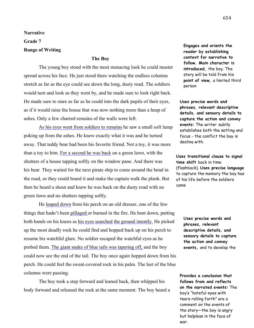**Narrative**

**Grade 7**

### **Range of Writing**

#### **The Boy**

The young boy stood with the most menacing look he could muster spread across his face. He just stood there watching the endless columns stretch as far as the eye could see down the long, dusty road. The soldiers would turn and look as they went by, and he made sure to look right back. He made sure to stare as far as he could into the dark pupils of their eyes, as if it would raise the house that was now nothing more than a heap of ashes. Only a few charred remains of the walls were left.

As his eyes went from soldiers to remains he saw a small soft lump poking up from the ashes. He knew exactly what it was and he turned away. That teddy bear had been his favorite friend. Not a toy, it was more than a toy to him. For a second he was back on a green lawn, with the shutters of a house tapping softly on the window pane. And there was his bear. They waited for the next pirate ship to come around the bend in the road, so they could board it and make the captain walk the plank. But then he heard a shout and knew he was back on the dusty road with no green lawn and no shutters tapping softly.

He leaped down from his perch on an old dresser, one of the few things that hadn't been pillaged or burned in the fire. He bent down, putting both hands on his knees as his eyes searched the ground intently. He picked up the most deadly rock he could find and hopped back up on his perch to resume his watchful glare. No soldier escaped the watchful eyes as he probed them. The giant snake of blue tails was tapering off, and the boy could now see the end of the tail. The boy once again hopped down from his perch. He could feel the sweat-covered rock in his palm. The last of the blue columns were passing.

The boy took a step forward and leaned back, then whipped his body forward and released the rock at the same moment. The boy heard a

**Engages and orients the reader by establishing context for narrative to follow. Main character is introduced,** the boy. The story will be told from his **point of view,** a limited third person

**Uses precise words and phrases, relevant descriptive details, and sensory details to capture the action and convey events:** The writer subtly establishes both the setting and focus - the conflict the boy is dealing with.

**Uses transitional clause to signal time shift** back in time (flashback). **Uses precise language**  to capture the memory the boy has of his life before the soldiers came

> **Uses precise words and phrases, relevant descriptive details, and sensory details to capture the action and convey events,** and to develop the

character of the boy

**Provides a conclusion that follows from and reflects on the narrated events:** The boy's "hateful eyes with tears rolling forth" are a comment on the events of the story—the boy is angry but helpless in the face of war.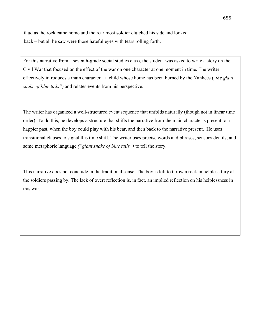thud as the rock came home and the rear most soldier clutched his side and looked back – but all he saw were those hateful eyes with tears rolling forth.

For this narrative from a seventh-grade social studies class, the student was asked to write a story on the Civil War that focused on the effect of the war on one character at one moment in time. The writer effectively introduces a main character—a child whose home has been burned by the Yankees ("*the giant snake of blue tails"*) and relates events from his perspective.

The writer has organized a well-structured event sequence that unfolds naturally (though not in linear time order). To do this, he develops a structure that shifts the narrative from the main character's present to a happier past, when the boy could play with his bear, and then back to the narrative present. He uses transitional clauses to signal this time shift. The writer uses precise words and phrases, sensory details, and some metaphoric language *("giant snake of blue tails")* to tell the story.

This narrative does not conclude in the traditional sense. The boy is left to throw a rock in helpless fury at the soldiers passing by. The lack of overt reflection is, in fact, an implied reflection on his helplessness in this war.